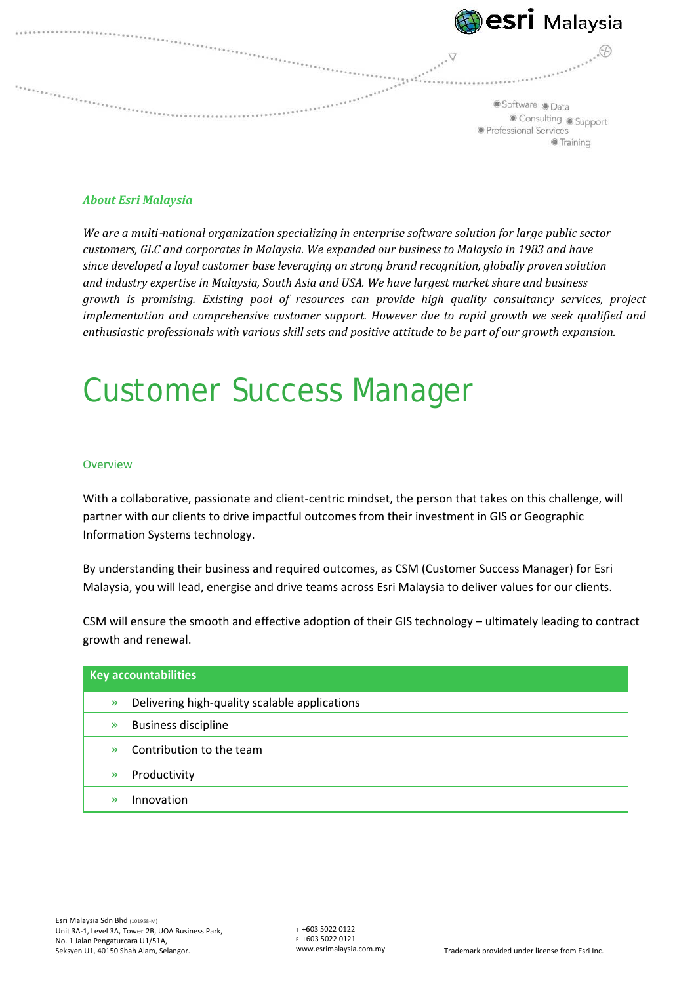

### *About Esri Malaysia*

*We are a multi*-*national organization specializing in enterprise software solution for large public sector customers, GLC and corporates in Malaysia. We expanded our business to Malaysia in 1983 and have since developed a loyal customer base leveraging on strong brand recognition, globally proven solution and industry expertise in Malaysia, South Asia and USA. We have largest market share and business growth is promising. Existing pool of resources can provide high quality consultancy services, project implementation and comprehensive customer support. However due to rapid growth we seek qualified and enthusiastic professionals with various skill sets and positive attitude to be part of our growth expansion.*

# Customer Success Manager

#### **Overview**

With a collaborative, passionate and client-centric mindset, the person that takes on this challenge, will partner with our clients to drive impactful outcomes from their investment in GIS or Geographic Information Systems technology.

By understanding their business and required outcomes, as CSM (Customer Success Manager) for Esri Malaysia, you will lead, energise and drive teams across Esri Malaysia to deliver values for our clients.

CSM will ensure the smooth and effective adoption of their GIS technology – ultimately leading to contract growth and renewal.

| <b>Key accountabilities</b> |                                               |
|-----------------------------|-----------------------------------------------|
| $\gg$                       | Delivering high-quality scalable applications |
| $\mathbb{R}$                | <b>Business discipline</b>                    |
| X,                          | Contribution to the team                      |
| $\mathbb{R}$                | Productivity                                  |
|                             | Innovation                                    |